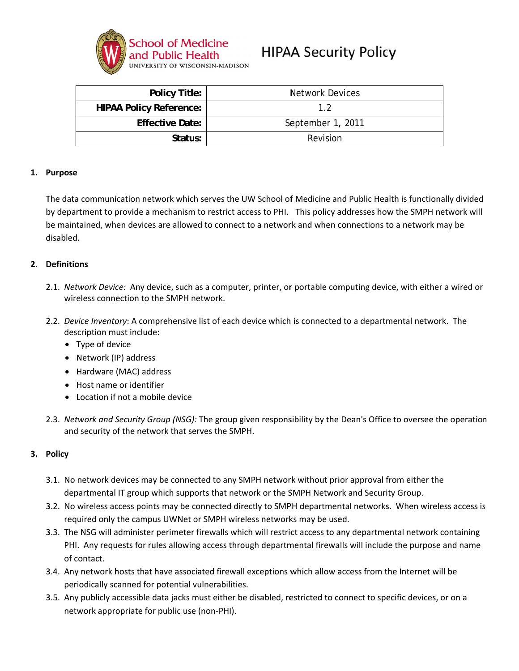

# **HIPAA Security Policy**

| <b>Policy Title:</b>           | <b>Network Devices</b> |
|--------------------------------|------------------------|
| <b>HIPAA Policy Reference:</b> | 19                     |
| <b>Effective Date:</b>         | September 1, 2011      |
| Status:                        | Revision               |

#### 1. Purpose

The data communication network which serves the UW School of Medicine and Public Health is functionally divided by department to provide a mechanism to restrict access to PHI. This policy addresses how the SMPH network will be maintained, when devices are allowed to connect to a network and when connections to a network may be disabled

#### 2. Definitions

- 2.1. Network Device: Any device, such as a computer, printer, or portable computing device, with either a wired or wireless connection to the SMPH network.
- 2.2. Device Inventory: A comprehensive list of each device which is connected to a departmental network. The description must include:
	- Type of device
	- Network (IP) address
	- Hardware (MAC) address
	- Host name or identifier
	- Location if not a mobile device
- 2.3. Network and Security Group (NSG): The group given responsibility by the Dean's Office to oversee the operation and security of the network that serves the SMPH.

### 3. Policy

- 3.1. No network devices may be connected to any SMPH network without prior approval from either the departmental IT group which supports that network or the SMPH Network and Security Group.
- 3.2. No wireless access points may be connected directly to SMPH departmental networks. When wireless access is required only the campus UWNet or SMPH wireless networks may be used.
- 3.3. The NSG will administer perimeter firewalls which will restrict access to any departmental network containing PHI. Any requests for rules allowing access through departmental firewalls will include the purpose and name of contact.
- 3.4. Any network hosts that have associated firewall exceptions which allow access from the Internet will be periodically scanned for potential vulnerabilities.
- 3.5. Any publicly accessible data jacks must either be disabled, restricted to connect to specific devices, or on a network appropriate for public use (non-PHI).